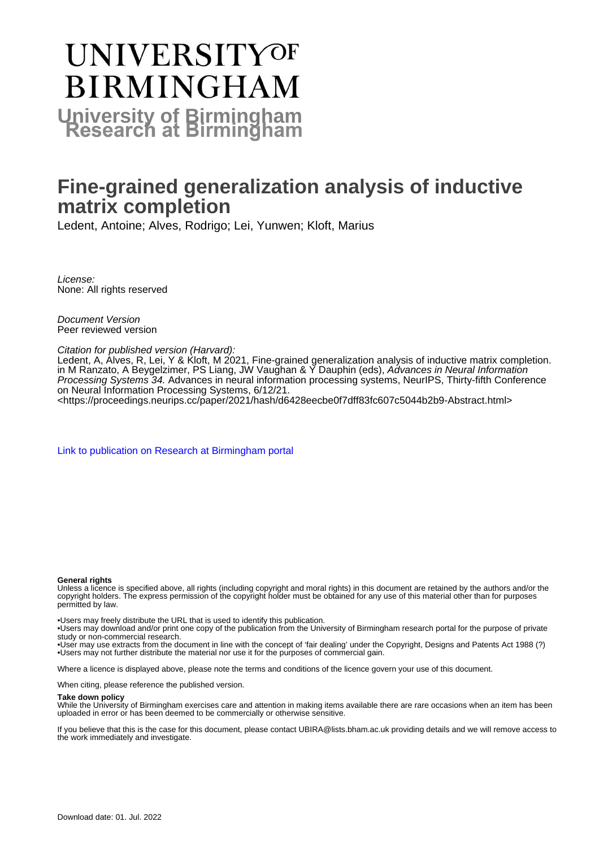# **UNIVERSITYOF BIRMINGHAM University of Birmingham**

# **Fine-grained generalization analysis of inductive matrix completion**

Ledent, Antoine; Alves, Rodrigo; Lei, Yunwen; Kloft, Marius

License: None: All rights reserved

Document Version Peer reviewed version

# Citation for published version (Harvard):

Ledent, A, Alves, R, Lei, Y & Kloft, M 2021, Fine-grained generalization analysis of inductive matrix completion. in M Ranzato, A Beygelzimer, PS Liang, JW Vaughan & Y Dauphin (eds), Advances in Neural Information Processing Systems 34. Advances in neural information processing systems, NeurIPS, Thirty-fifth Conference on Neural Information Processing Systems, 6/12/21.

<<https://proceedings.neurips.cc/paper/2021/hash/d6428eecbe0f7dff83fc607c5044b2b9-Abstract.html>>

[Link to publication on Research at Birmingham portal](https://birmingham.elsevierpure.com/en/publications/f7f43819-6ec2-4c77-b736-f793c2f55b89)

#### **General rights**

Unless a licence is specified above, all rights (including copyright and moral rights) in this document are retained by the authors and/or the copyright holders. The express permission of the copyright holder must be obtained for any use of this material other than for purposes permitted by law.

• Users may freely distribute the URL that is used to identify this publication.

• Users may download and/or print one copy of the publication from the University of Birmingham research portal for the purpose of private study or non-commercial research.

• User may use extracts from the document in line with the concept of 'fair dealing' under the Copyright, Designs and Patents Act 1988 (?) • Users may not further distribute the material nor use it for the purposes of commercial gain.

Where a licence is displayed above, please note the terms and conditions of the licence govern your use of this document.

When citing, please reference the published version.

# **Take down policy**

While the University of Birmingham exercises care and attention in making items available there are rare occasions when an item has been uploaded in error or has been deemed to be commercially or otherwise sensitive.

If you believe that this is the case for this document, please contact UBIRA@lists.bham.ac.uk providing details and we will remove access to the work immediately and investigate.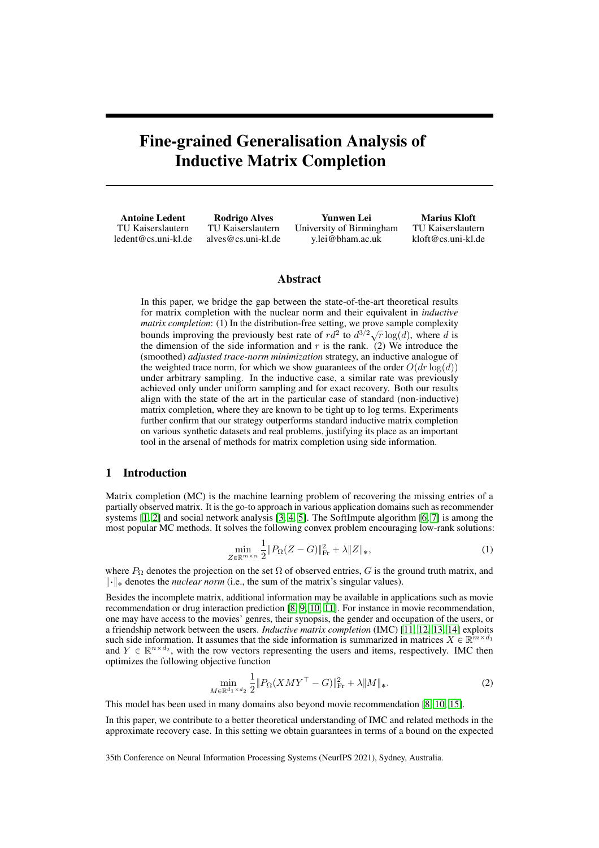# Fine-grained Generalisation Analysis of Inductive Matrix Completion

Antoine Ledent TU Kaiserslautern ledent@cs.uni-kl.de Rodrigo Alves TU Kaiserslautern alves@cs.uni-kl.de Yunwen Lei University of Birmingham y.lei@bham.ac.uk Marius Kloft TU Kaiserslautern kloft@cs.uni-kl.de

# Abstract

In this paper, we bridge the gap between the state-of-the-art theoretical results for matrix completion with the nuclear norm and their equivalent in *inductive matrix completion*: (1) In the distribution-free setting, we prove sample complexity bounds improving the previously best rate of  $rd^2$  to  $d^{3/2}\sqrt{r} \log(d)$ , where *d* is the dimension of the side information and  $r$  is the rank. (2) We introduce the (smoothed) *adjusted trace-norm minimization* strategy, an inductive analogue of the weighted trace norm, for which we show guarantees of the order  $O(dr \log(d))$ under arbitrary sampling. In the inductive case, a similar rate was previously achieved only under uniform sampling and for exact recovery. Both our results align with the state of the art in the particular case of standard (non-inductive) matrix completion, where they are known to be tight up to log terms. Experiments further confirm that our strategy outperforms standard inductive matrix completion on various synthetic datasets and real problems, justifying its place as an important tool in the arsenal of methods for matrix completion using side information.

# 1 Introduction

Matrix completion (MC) is the machine learning problem of recovering the missing entries of a partially observed matrix. It is the go-to approach in various application domains such as recommender systems  $\left[\prod_{i=1}^{n} 2\right]$  and social network analysis  $\left[\frac{1}{3}, \frac{1}{2}\right]$ . The SoftImpute algorithm  $\left[\frac{1}{3}, \frac{1}{2}\right]$  is among the most popular MC methods. It solves the following convex problem encouraging low-rank solutions:

$$
\min_{Z \in \mathbb{R}^{m \times n}} \frac{1}{2} \| P_{\Omega} (Z - G) \|_{\text{Fr}}^2 + \lambda \| Z \|_{*}, \tag{1}
$$

where  $P_{\Omega}$  denotes the projection on the set  $\Omega$  of observed entries, *G* is the ground truth matrix, and  $\|\cdot\|_*$  denotes the *nuclear norm* (i.e., the sum of the matrix's singular values).

Besides the incomplete matrix, additional information may be available in applications such as movie recommendation or drug interaction prediction  $\boxed{8}$ ,  $\boxed{10}$ ,  $\boxed{11}$ . For instance in movie recommendation, one may have access to the movies' genres, their synopsis, the gender and occupation of the users, or a friendship network between the users. *Inductive matrix completion* (IMC) [11, 12, 13, 14] exploits such side information. It assumes that the side information is summarized in matrices  $\overline{X} \in \mathbb{R}^{m \times d_1}$ and  $Y \in \mathbb{R}^{n \times d_2}$ , with the row vectors representing the users and items, respectively. IMC then optimizes the following objective function

$$
\min_{M \in \mathbb{R}^{d_1 \times d_2}} \frac{1}{2} \| P_{\Omega} (X M Y^{\top} - G) \|_{\text{Fr}}^2 + \lambda \| M \|_{*}.
$$
 (2)

This model has been used in many domains also beyond movie recommendation  $\left|\frac{8}{10}\right| \frac{1}{15}$ .

In this paper, we contribute to a better theoretical understanding of IMC and related methods in the approximate recovery case. In this setting we obtain guarantees in terms of a bound on the expected

35th Conference on Neural Information Processing Systems (NeurIPS 2021), Sydney, Australia.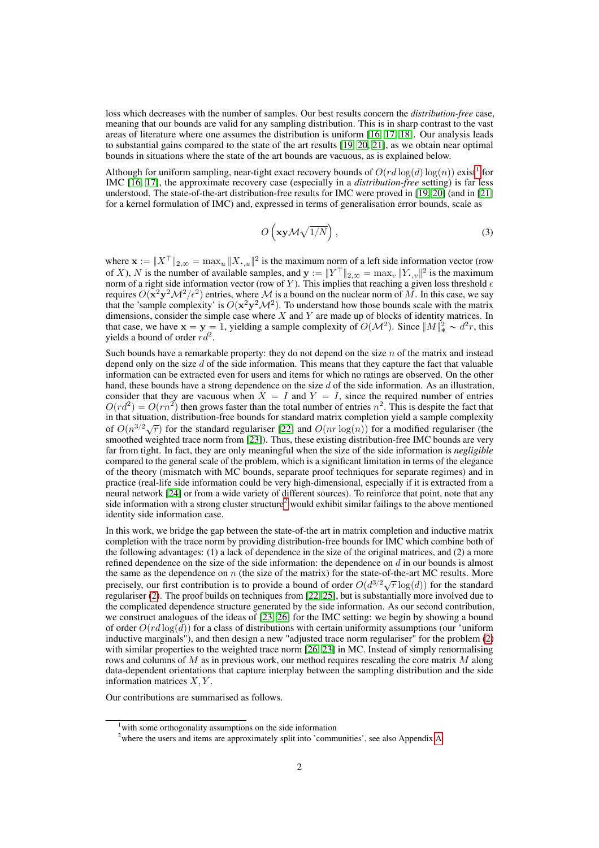loss which decreases with the number of samples. Our best results concern the *distribution-free* case, meaning that our bounds are valid for any sampling distribution. This is in sharp contrast to the vast areas of literature where one assumes the distribution is uniform  $\boxed{16}$   $\boxed{17}$   $\boxed{18}$ . Our analysis leads to substantial gains compared to the state of the art results  $\boxed{19}$ ,  $\boxed{20}$ ,  $\boxed{21}$ , as we obtain near optimal bounds in situations where the state of the art bounds are vacuous, as is explained below.

Although for uniform sampling, near-tight exact recovery bounds of  $O(r d \log(d) \log(n))$  exist<sup>1</sup> for IMC [16, 17], the approximate recovery case (especially in a *distribution-free* setting) is far less understood. The state-of-the-art distribution-free results for IMC were proved in  $\boxed{19/20}$  (and in  $\boxed{21}$ ) for a kernel formulation of IMC) and, expressed in terms of generalisation error bounds, scale as

$$
O\left(\mathbf{x}\mathbf{y}\mathcal{M}\sqrt{1/N}\right),\tag{3}
$$

where  $\mathbf{x} := \|X^\top\|_{2,\infty} = \max_u \|X_{\cdot,u}\|^2$  is the maximum norm of a left side information vector (row of *X*), *N* is the number of available samples, and  $\mathbf{y} := ||Y^{\top}||_{2,\infty} = \max_{v} ||Y_{\cdot,v}||^2$  is the maximum norm of a right side information vector (row of  $Y$ ). This implies that reaching a given loss threshold  $\epsilon$ requires  $O(x^2y^2M^2/\epsilon^2)$  entries, where M is a bound on the nuclear norm of M. In this case, we say that the 'sample complexity' is  $O(x^2y^2M^2)$ . To understand how those bounds scale with the matrix dimensions, consider the simple case where *X* and *Y* are made up of blocks of identity matrices. In that case, we have  $\mathbf{x} = \mathbf{y} = 1$ , yielding a sample complexity of  $O(\mathcal{M}^2)$ . Since  $||M||_*^2 \sim d^2r$ , this yields a bound of order *rd*<sup>2</sup>.

Such bounds have a remarkable property: they do not depend on the size *n* of the matrix and instead depend only on the size *d* of the side information. This means that they capture the fact that valuable information can be extracted even for users and items for which no ratings are observed. On the other hand, these bounds have a strong dependence on the size *d* of the side information. As an illustration, consider that they are vacuous when  $X = I$  and  $Y = I$ , since the required number of entries  $O(r d^2) = O(rn^2)$  then grows faster than the total number of entries  $n^2$ . This is despite the fact that in that situation, distribution-free bounds for standard matrix completion yield a sample complexity of  $O(n^{3/2}\sqrt{r})$  for the standard regulariser  $[22]$  and  $O(nr \log(n))$  for a modified regulariser (the smoothed weighted trace norm from **[23]**). Thus, these existing distribution-free IMC bounds are very far from tight. In fact, they are only meaningful when the size of the side information is *negligible* compared to the general scale of the problem, which is a significant limitation in terms of the elegance of the theory (mismatch with MC bounds, separate proof techniques for separate regimes) and in practice (real-life side information could be very high-dimensional, especially if it is extracted from a neural network [24] or from a wide variety of different sources). To reinforce that point, note that any side information with a strong cluster structure<sup>2</sup> would exhibit similar failings to the above mentioned identity side information case.

In this work, we bridge the gap between the state-of-the art in matrix completion and inductive matrix completion with the trace norm by providing distribution-free bounds for IMC which combine both of the following advantages: (1) a lack of dependence in the size of the original matrices, and (2) a more refined dependence on the size of the side information: the dependence on *d* in our bounds is almost the same as the dependence on *n* (the size of the matrix) for the state-of-the-art MC results. More precisely, our first contribution is to provide a bound of order  $O(d^{3/2}\sqrt{r} \log(d))$  for the standard regulariser  $\overline{[2]}$ . The proof builds on techniques from  $\overline{[22][25]}$ , but is substantially more involved due to the complicated dependence structure generated by the side information. As our second contribution, we construct analogues of the ideas of  $\left[\frac{23}{26}\right]$  for the IMC setting: we begin by showing a bound of order  $O(r d \log(d))$  for a class of distributions with certain uniformity assumptions (our "uniform" inductive marginals"), and then design a new "adjusted trace norm regulariser" for the problem  $\overline{2}$ with similar properties to the weighted trace norm  $[26, 23]$  in MC. Instead of simply renormalising rows and columns of *M* as in previous work, our method requires rescaling the core matrix *M* along data-dependent orientations that capture interplay between the sampling distribution and the side information matrices *X, Y* .

Our contributions are summarised as follows.

<sup>&</sup>lt;sup>1</sup> with some orthogonality assumptions on the side information

<sup>&</sup>lt;sup>2</sup>where the users and items are approximately split into 'communities', see also Appendix A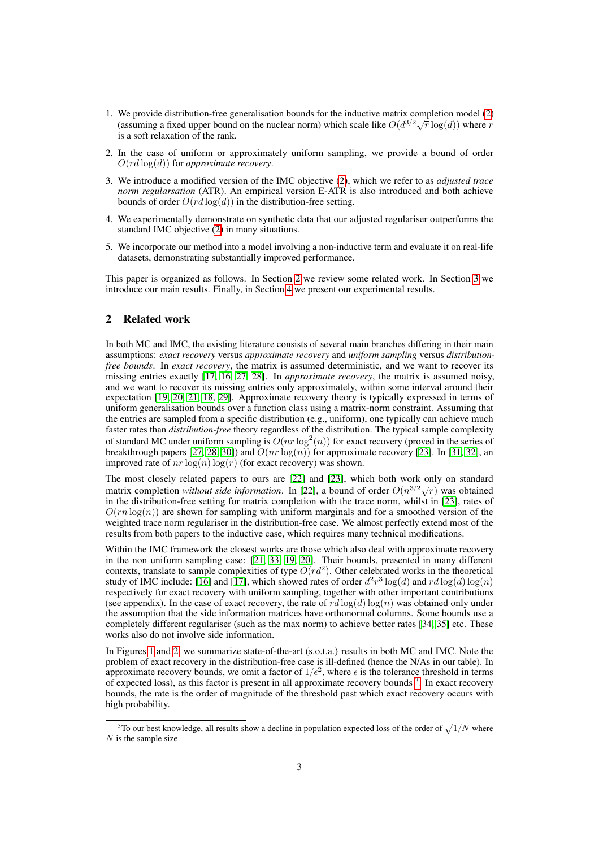- 1. We provide distribution-free generalisation bounds for the inductive matrix completion model  $\overline{2}$ (assuming a fixed upper bound on the nuclear norm) which scale like  $O(d^{3/2}\sqrt{r} \log(d))$  where *r* is a soft relaxation of the rank.
- 2. In the case of uniform or approximately uniform sampling, we provide a bound of order  $O(r d \log(d))$  for *approximate recovery*.
- 3. We introduce a modified version of the IMC objective (2), which we refer to as *adjusted trace norm regularsation* (ATR). An empirical version E-ATR is also introduced and both achieve bounds of order  $O(r d \log(d))$  in the distribution-free setting.
- 4. We experimentally demonstrate on synthetic data that our adjusted regulariser outperforms the standard IMC objective  $(2)$  in many situations.
- 5. We incorporate our method into a model involving a non-inductive term and evaluate it on real-life datasets, demonstrating substantially improved performance.

This paper is organized as follows. In Section  $\sqrt{2}$  we review some related work. In Section  $\sqrt{3}$  we introduce our main results. Finally, in Section  $\frac{4}{x}$  we present our experimental results.

# 2 Related work

In both MC and IMC, the existing literature consists of several main branches differing in their main assumptions: *exact recovery* versus *approximate recovery* and *uniform sampling* versus *distributionfree bounds*. In *exact recovery*, the matrix is assumed deterministic, and we want to recover its missing entries exactly [17, 16, 27, 28]. In *approximate recovery*, the matrix is assumed noisy, and we want to recover its missing entries only approximately, within some interval around their expectation  $\overline{19}$ ,  $\overline{20}$ ,  $\overline{21}$ ,  $\overline{18}$ ,  $\overline{29}$ . Approximate recovery theory is typically expressed in terms of uniform generalisation bounds over a function class using a matrix-norm constraint. Assuming that the entries are sampled from a specific distribution (e.g., uniform), one typically can achieve much faster rates than *distribution-free* theory regardless of the distribution. The typical sample complexity of standard MC under uniform sampling is  $O(nr \log^2(n))$  for exact recovery (proved in the series of breakthrough papers  $[27, 28, 30]$  and  $O(nr \log(n))$  for approximate recovery  $[23]$ . In  $[31, 32]$ , an improved rate of  $nr \log(n) \log(r)$  (for exact recovery) was shown.

The most closely related papers to ours are  $[22]$  and  $[23]$ , which both work only on standard matrix completion *without side information*. In [22], a bound of order  $O(n^{3/2}\sqrt{r})$  was obtained in the distribution-free setting for matrix completion with the trace norm, whilst in [23], rates of  $O(rn \log(n))$  are shown for sampling with uniform marginals and for a smoothed version of the weighted trace norm regulariser in the distribution-free case. We almost perfectly extend most of the results from both papers to the inductive case, which requires many technical modifications.

Within the IMC framework the closest works are those which also deal with approximate recovery in the non uniform sampling case:  $[21, 33, 19, 20]$ . Their bounds, presented in many different contexts, translate to sample complexities of type  $\overline{O}(r d^2)$ . Other celebrated works in the theoretical study of IMC include:  $\frac{1}{\sqrt{16}}$  and  $\frac{1}{\sqrt{17}}$ , which showed rates of order  $d^2r^3 \log(d)$  and  $rd \log(d) \log(n)$ respectively for exact recovery with uniform sampling, together with other important contributions (see appendix). In the case of exact recovery, the rate of  $rd \log(d) \log(n)$  was obtained only under the assumption that the side information matrices have orthonormal columns. Some bounds use a completely different regulariser (such as the max norm) to achieve better rates  $\sqrt{34}$ ,  $\sqrt{35}$  etc. These works also do not involve side information.

In Figures  $\boxed{1}$  and  $\boxed{2}$ , we summarize state-of-the-art (s.o.t.a.) results in both MC and IMC. Note the problem of exact recovery in the distribution-free case is ill-defined (hence the N/As in our table). In approximate recovery bounds, we omit a factor of  $1/\epsilon^2$ , where  $\epsilon$  is the tolerance threshold in terms of expected loss), as this factor is present in all approximate recovery bounds  $\left| \frac{3}{2} \right|$  In exact recovery bounds, the rate is the order of magnitude of the threshold past which exact recovery occurs with high probability.

<sup>&</sup>lt;sup>3</sup>To our best knowledge, all results show a decline in population expected loss of the order of  $\sqrt{1/N}$  where *N* is the sample size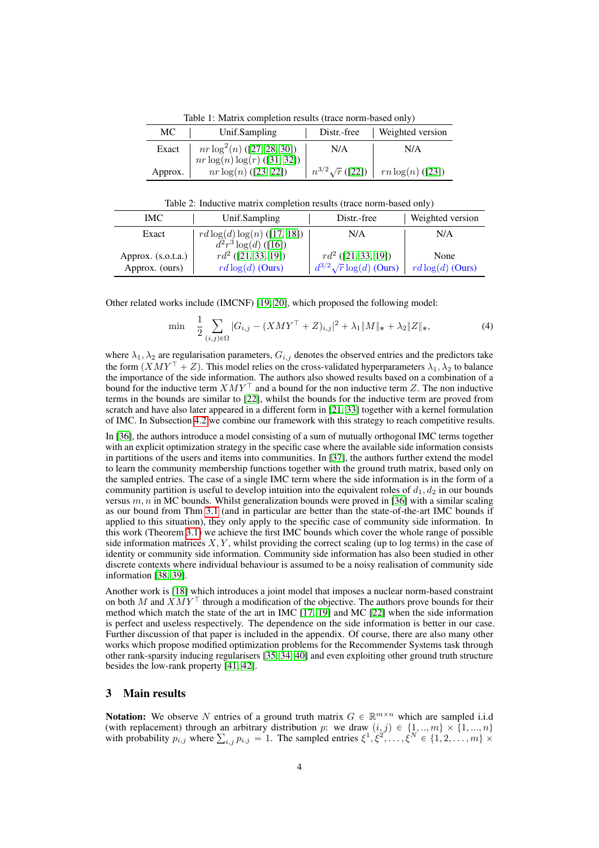Table 1: Matrix completion results (trace norm-based only)

| МC      | Unif.Sampling                | Distr.-free            | <b>Weighted version</b> |
|---------|------------------------------|------------------------|-------------------------|
| Exact   | $nr \log^2(n)$ (27.28.30)    | N/A                    | N/A                     |
|         | $nr \log(n) \log(r)$ (31.32) |                        |                         |
| Approx. | $nr \log(n)$ ([23] [22])     | $n^{3/2}\sqrt{r}$ (22) | $rn \log(n)$ ([23])     |

Table 2: Inductive matrix completion results (trace norm-based only)

| IMC.                 | Unif.Sampling                    | Distr.-free                     | Weighted version    |
|----------------------|----------------------------------|---------------------------------|---------------------|
| Exact                | $rd \log(d) \log(n)$ ([17] [18]) | N/A                             | N/A                 |
|                      | $d^2r^3 \log(d)$ ([16])          |                                 |                     |
| Approx. $(s.o.t.a.)$ | $rd^2$ ([21] 33, 19])            | $rd^2$ ([21.] 33.] 19]          | None                |
| Approx. (ours)       | $rd \log(d)$ (Ours)              | $d^{3/2}\sqrt{r}\log(d)$ (Ours) | $rd \log(d)$ (Ours) |

Other related works include (IMCNF) [19, 20], which proposed the following model:

$$
\min \quad \frac{1}{2} \sum_{(i,j)\in\Omega} |G_{i,j} - (XMY^\top + Z)_{i,j}|^2 + \lambda_1 \|M\|_* + \lambda_2 \|Z\|_*,\tag{4}
$$

where  $\lambda_1, \lambda_2$  are regularisation parameters,  $G_{i,j}$  denotes the observed entries and the predictors take the form  $(XMY^{\top} + Z)$ . This model relies on the cross-validated hyperparameters  $\lambda_1, \lambda_2$  to balance the importance of the side information. The authors also showed results based on a combination of a bound for the inductive term  $XMY^{\dagger}$  and a bound for the non inductive term Z. The non inductive terms in the bounds are similar to  $[22]$ , whilst the bounds for the inductive term are proved from scratch and have also later appeared in a different form in  $\left[21\right]33$  together with a kernel formulation of IMC. In Subsection  $\sqrt{4.2}$  we combine our framework with this strategy to reach competitive results.

In [36], the authors introduce a model consisting of a sum of mutually orthogonal IMC terms together with an explicit optimization strategy in the specific case where the available side information consists in partitions of the users and items into communities. In  $\overline{37}$ , the authors further extend the model to learn the community membership functions together with the ground truth matrix, based only on the sampled entries. The case of a single IMC term where the side information is in the form of a community partition is useful to develop intuition into the equivalent roles of  $d_1, d_2$  in our bounds versus  $m, n$  in MC bounds. Whilst generalization bounds were proved in  $\overline{36}$  with a similar scaling as our bound from Thm  $\overline{3.1}$  (and in particular are better than the state-of-the-art IMC bounds if applied to this situation), they only apply to the specific case of community side information. In this work (Theorem  $\overline{3.1}$ ) we achieve the first IMC bounds which cover the whole range of possible side information matrices  $X, Y$ , whilst providing the correct scaling (up to log terms) in the case of identity or community side information. Community side information has also been studied in other discrete contexts where individual behaviour is assumed to be a noisy realisation of community side information [38, 39].

Another work is [18] which introduces a joint model that imposes a nuclear norm-based constraint on both *M* and  $XMY^{\top}$  through a modification of the objective. The authors prove bounds for their method which match the state of the art in IMC  $\boxed{17}$ ,  $\boxed{19}$  and MC  $\boxed{22}$  when the side information is perfect and useless respectively. The dependence on the side information is better in our case. Further discussion of that paper is included in the appendix. Of course, there are also many other works which propose modified optimization problems for the Recommender Systems task through other rank-sparsity inducing regularisers [35, 34] 40] and even exploiting other ground truth structure besides the low-rank property  $[41, 42]$ .

# 3 Main results

Notation: We observe *N* entries of a ground truth matrix  $G \in \mathbb{R}^{m \times n}$  which are sampled i.i.d (with replacement) through an arbitrary distribution *p*: we draw  $(i, j) \in \{1, ..., m\} \times \{1, ..., n\}$ with probability  $p_{i,j}$  where  $\sum_{i,j} p_{i,j} = 1$ . The sampled entries  $\xi^1, \xi^2, \ldots, \xi^N \in \{1, 2, \ldots, m\} \times$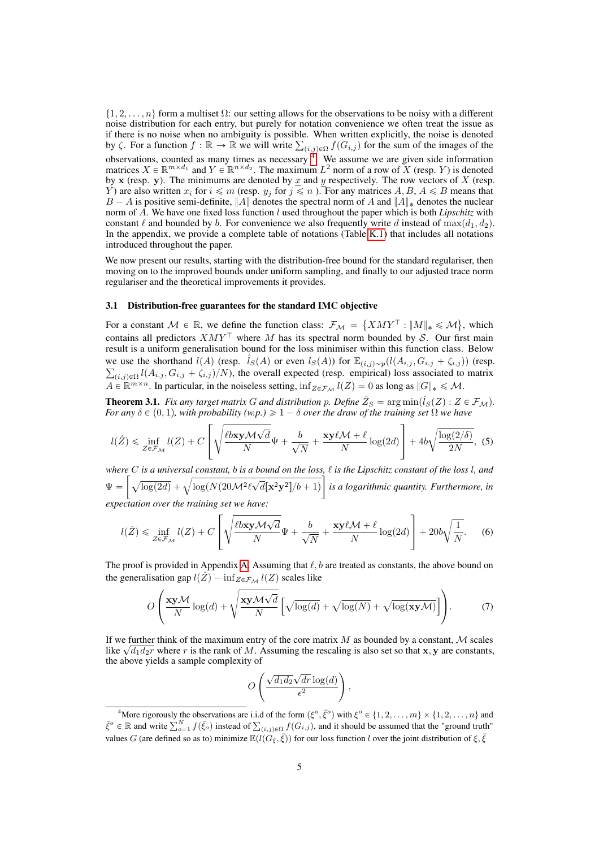$\{1, 2, \ldots, n\}$  form a multiset  $\Omega$ : our setting allows for the observations to be noisy with a different noise distribution for each entry, but purely for notation convenience we often treat the issue as if there is no noise when no ambiguity is possible. When written explicitly, the noise is denoted by  $\zeta$ . For a function  $f : \mathbb{R} \to \mathbb{R}$  we will write  $\sum_{(i,j)\in\Omega} f(G_{i,j})$  for the sum of the images of the observations, counted as many times as necessary  $\frac{1}{\sqrt{2}}$  We assume we are given side information matrices  $X \in \mathbb{R}^{m \times d_1}$  and  $Y \in \mathbb{R}^{n \times d_2}$ . The maximum  $L^2$  norm of a row of  $X$  (resp.  $Y$ ) is denoted by  $x$  (resp.  $y$ ). The minimums are denoted by  $x$  and  $y$  respectively. The row vectors of  $X$  (resp. *Y*) are also written  $x_i$  for  $i \le m$  (resp.  $y_j$  for  $j \le n$  ). For any matrices  $A, B, A \le B$  means that *B*  $-$  *A* is positive semi-definite,  $||A||$  denotes the spectral norm of *A* and  $||A||_*$  denotes the nuclear norm of *A*. We have one fixed loss function *l* used throughout the paper which is both *Lipschitz* with constant  $\ell$  and bounded by *b*. For convenience we also frequently write *d* instead of max $(d_1, d_2)$ . In the appendix, we provide a complete table of notations (Table  $\overline{K.1}$ ) that includes all notations introduced throughout the paper.

We now present our results, starting with the distribution-free bound for the standard regulariser, then moving on to the improved bounds under uniform sampling, and finally to our adjusted trace norm regulariser and the theoretical improvements it provides.

# 3.1 Distribution-free guarantees for the standard IMC objective

For a constant  $M \in \mathbb{R}$ , we define the function class:  $\mathcal{F}_M = \{XMY^\top : ||M||_* \leq \mathcal{M}\}$ , which contains all predictors  $XMY^{\top}$  where *M* has its spectral norm bounded by *S*. Our first main result is a uniform generalisation bound for the loss minimiser within this function class. Below we use the shorthand *l*(*A*) (resp.  $\hat{l}_S(A)$  or even  $l_S(A)$ ) for  $\mathbb{E}_{(i,j)\sim p}(l(A_{i,j}, G_{i,j} + \zeta_{i,j}))$  (resp.  $\sum_{(i,j)\in\Omega} l(A_{i,j}, G_{i,j} + \zeta_{i,j})/N$ , the overall expected (resp. empirical) loss associated to matrix  $A \in \mathbb{R}^{m \times n}$ . In particular, in the noiseless setting,  $\inf_{Z \in \mathcal{F}_{\mathcal{M}}} l(Z) = 0$  as long as  $||G||_* \leq \mathcal{M}$ .

**Theorem 3.1.** *Fix any target matrix G and distribution p. Define*  $\hat{Z}_S = \arg \min (\hat{l}_S(Z) : Z \in \mathcal{F}_M)$ *. For any*  $\delta \in (0,1)$ *, with probability* (*w.p.*)  $\geq 1 - \delta$  *over the draw of the training set*  $\Omega$  *we have* 

$$
l(\hat{Z}) \le \inf_{Z \in \mathcal{F}_{\mathcal{M}}} l(Z) + C \left[ \sqrt{\frac{\ell b \mathbf{x} \mathbf{y} \mathcal{M} \sqrt{d}}{N}} \Psi + \frac{b}{\sqrt{N}} + \frac{\mathbf{x} \mathbf{y} \ell \mathcal{M} + \ell}{N} \log(2d) \right] + 4b \sqrt{\frac{\log(2/\delta)}{2N}}, \tag{5}
$$

*where*  $C$  *is a universal constant,*  $b$  *<i>is a bound on the loss,*  $\ell$  *is the Lipschitz constant of the loss*  $l$ *, and*  $\Psi =$  $\left[\sqrt{\log(2d)} + \sqrt{\log(N(20\mathcal{M}^2 \ell \sqrt{d}[\mathbf{x}^2 \mathbf{y}^2])/b + 1)}\right]$ *is a logarithmic quantity. Furthermore, in expectation over the training set we have:*

$$
l(\hat{Z}) \le \inf_{Z \in \mathcal{F}_{\mathcal{M}}} l(Z) + C \left[ \sqrt{\frac{\ell b \mathbf{x} \mathbf{y} \mathcal{M} \sqrt{d}}{N}} \Psi + \frac{b}{\sqrt{N}} + \frac{\mathbf{x} \mathbf{y} \ell \mathcal{M} + \ell}{N} \log(2d) \right] + 20b \sqrt{\frac{1}{N}}. \tag{6}
$$

The proof is provided in Appendix  $\overline{A}$ . Assuming that  $\ell$ , *b* are treated as constants, the above bound on the generalisation gap  $l(\hat{Z}) - \inf_{Z \in \mathcal{F}_M} l(Z)$  scales like

$$
O\left(\frac{\mathbf{x}\mathbf{y}\mathcal{M}}{N}\log(d) + \sqrt{\frac{\mathbf{x}\mathbf{y}\mathcal{M}\sqrt{d}}{N}}\left[\sqrt{\log(d)} + \sqrt{\log(N)} + \sqrt{\log(\mathbf{x}\mathbf{y}\mathcal{M})}\right]\right).
$$
(7)

If we further think of the maximum entry of the core matrix *M* as bounded by a constant, *M* scales like  $\sqrt{d_1 d_2 r}$  where *r* is the rank of *M*. Assuming the rescaling is also set so that x, y are constants, the above yields a sample complexity of

$$
O\left(\frac{\sqrt{d_1d_2}\sqrt{dr}\log(d)}{\epsilon^2}\right),\,
$$

<sup>&</sup>lt;sup>4</sup>More rigorously the observations are i.i.d of the form  $(\xi^o, \bar{\xi}^o)$  with  $\xi^o \in \{1, 2, ..., m\} \times \{1, 2, ..., n\}$  and  $\bar{\xi}^o \in \mathbb{R}$  and write  $\sum_{o=1}^N f(\bar{\xi}_o)$  instead of  $\sum_{(i,j)\in\Omega} f(G_{i,j})$ , and it should be assumed that the "ground truth" values *G* (are defined so as to) minimize  $\mathbb{E}(\ell(\tilde{G}_{\xi},\bar{\xi}))$  for our loss function *l* over the joint distribution of  $\xi,\bar{\xi}$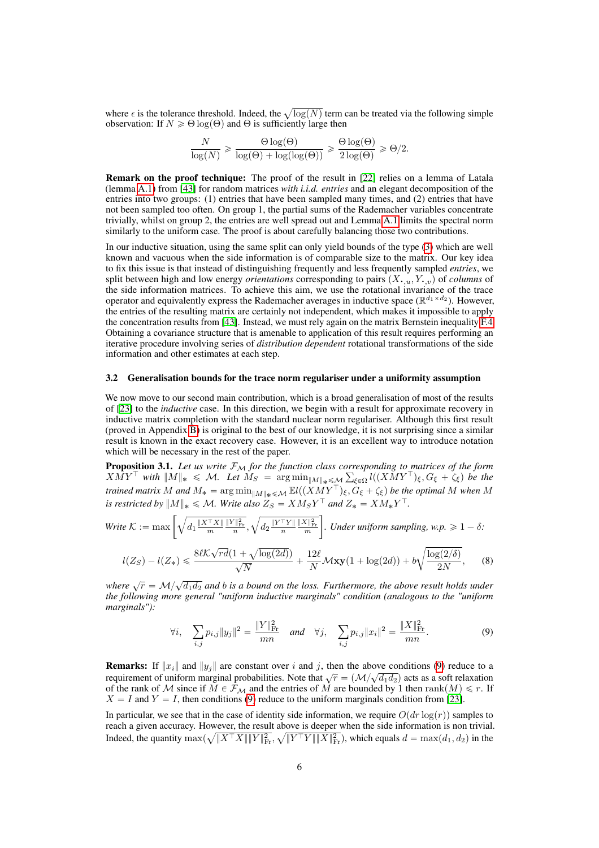where  $\epsilon$  is the tolerance threshold. Indeed, the  $\sqrt{\log(N)}$  term can be treated via the following simple observation: If  $N \geq \Theta \log(\Theta)$  and  $\Theta$  is sufficiently large then

$$
\frac{N}{\log(N)} \ge \frac{\Theta \log(\Theta)}{\log(\Theta) + \log(\log(\Theta))} \ge \frac{\Theta \log(\Theta)}{2 \log(\Theta)} \ge \Theta/2.
$$

Remark on the proof technique: The proof of the result in [22] relies on a lemma of Latala (lemma A.1) from [43] for random matrices *with i.i.d. entries* and an elegant decomposition of the entries into two groups: (1) entries that have been sampled many times, and (2) entries that have not been sampled too often. On group 1, the partial sums of the Rademacher variables concentrate trivially, whilst on group 2, the entries are well spread out and Lemma  $\overline{A}$ . I limits the spectral norm similarly to the uniform case. The proof is about carefully balancing those two contributions.

In our inductive situation, using the same split can only yield bounds of the type  $\boxed{3}$  which are well known and vacuous when the side information is of comparable size to the matrix. Our key idea to fix this issue is that instead of distinguishing frequently and less frequently sampled *entries*, we split between high and low energy *orientations* corresponding to pairs  $(X, u, Y, v)$  of *columns* of the side information matrices. To achieve this aim, we use the rotational invariance of the trace operator and equivalently express the Rademacher averages in inductive space ( $\mathbb{R}^{d_1 \times d_2}$ ). However, the entries of the resulting matrix are certainly not independent, which makes it impossible to apply the concentration results from [43]. Instead, we must rely again on the matrix Bernstein inequality  $F.4$ Obtaining a covariance structure that is amenable to application of this result requires performing an iterative procedure involving series of *distribution dependent* rotational transformations of the side information and other estimates at each step.

#### 3.2 Generalisation bounds for the trace norm regulariser under a uniformity assumption

We now move to our second main contribution, which is a broad generalisation of most of the results of [23] to the *inductive* case. In this direction, we begin with a result for approximate recovery in inductive matrix completion with the standard nuclear norm regulariser. Although this first result (proved in Appendix  $\boxed{B}$ ) is original to the best of our knowledge, it is not surprising since a similar result is known in the exact recovery case. However, it is an excellent way to introduce notation which will be necessary in the rest of the paper.

**Proposition 3.1.** Let us write  $\mathcal{F}_{\mathcal{M}}$  for the function class corresponding to matrices of the form  $X\tilde{M}Y^{\top}$  with  $||M||_* \leq M$ . Let  $\tilde{M}_S = \arg \min_{||M||_* \leq M} \sum_{\xi \in \Omega} l((\tilde{X}\tilde{M}Y^{\top})_{\xi}, G_{\xi} + \zeta_{\xi})$  be the *trained matrix*  $M$  *and*  $M_* = \arg \min_{\|M\|_* \le \mathcal{M}} \mathbb{E}l((XMY^{\top})_{\xi}, G_{\xi} + \zeta_{\xi})$  be the optimal  $M$  when  $M$ *is restricted by*  $||M||_* \le M$ *. Write also*  $Z_S = X M_S Y^\top$  *and*  $Z_* = X M_* Y^\top$ *.* 

Write 
$$
K := \max \left[ \sqrt{d_1 \frac{\|X^\top X\|}{m} \frac{\|Y\|_{\text{Fr}}^2}{n}}, \sqrt{d_2 \frac{\|Y^\top Y\|}{n} \frac{\|X\|_{\text{Fr}}^2}{m}} \right]
$$
. Under uniform sampling,  $w.p. \geq 1 - \delta$ :

$$
l(Z_S) - l(Z_*) \leq \frac{8\ell\mathcal{K}\sqrt{rd}(1+\sqrt{\log(2d)})}{\sqrt{N}} + \frac{12\ell}{N}\mathcal{M}\mathbf{xy}(1+\log(2d)) + b\sqrt{\frac{\log(2/\delta)}{2N}},\tag{8}
$$

*where*  $\sqrt{r} = M/\sqrt{d_1 d_2}$  and *b is a bound on the loss. Furthermore, the above result holds under the following more general "uniform inductive marginals" condition (analogous to the "uniform marginals"):*

$$
\forall i, \quad \sum_{i,j} p_{i,j} \|y_j\|^2 = \frac{\|Y\|_{\text{Fr}}^2}{mn} \quad \text{and} \quad \forall j, \quad \sum_{i,j} p_{i,j} \|x_i\|^2 = \frac{\|X\|_{\text{Fr}}^2}{mn}.
$$
 (9)

**Remarks:** If  $||x_i||$  and  $||y_j||$  are constant over *i* and *j*, then the above conditions (9) reduce to a requirement of uniform marginal probabilities. Note that  $\sqrt{r} = (M/\sqrt{d_1 d_2})$  acts as a soft relaxation requirement of uniform marginal probabilities. Note that  $\sqrt{r} = (M/\sqrt{d_1 d_2})$  acts as a soft relaxation of the rank of *M* since if  $M \in \mathcal{F}_M$  and the entries of *M* are bounded by 1 then rank $\binom{M}{n} \leq r$ . If  $X = I$  and  $Y = I$ , then conditions  $\overline{9}$  reduce to the uniform marginals condition from [23].

In particular, we see that in the case of identity side information, we require  $O(d r \log(r))$  samples to reach a given accuracy. However, the result above is deeper when the side information is non trivial. Indeed, the quantity  $\max(\sqrt{\|X^\top X\| \|Y\|_{\text{Fr}}^2}, \sqrt{\|Y^\top Y\| \|X\|_{\text{Fr}}^2})$ , which equals  $d = \max(d_1, d_2)$  in the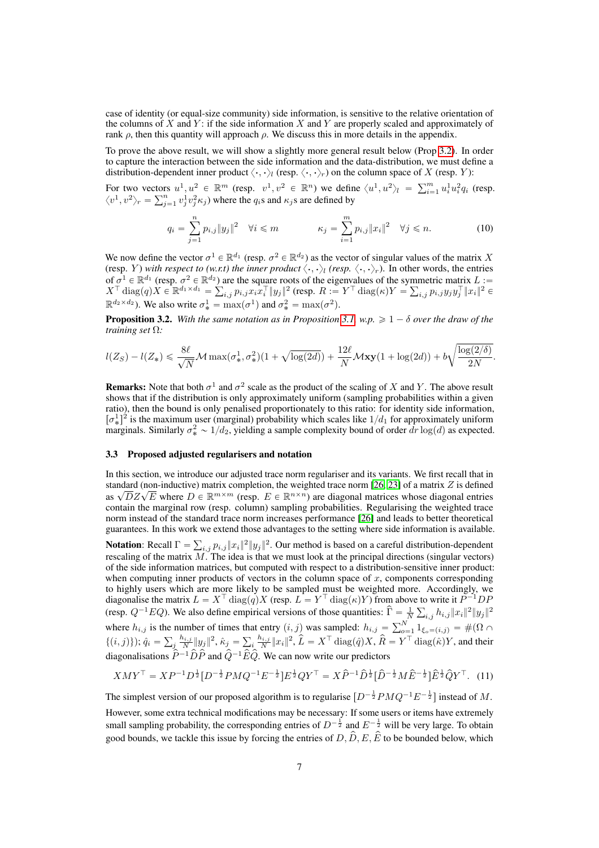case of identity (or equal-size community) side information, is sensitive to the relative orientation of the columns of *X* and *Y* : if the side information *X* and *Y* are properly scaled and approximately of rank  $\rho$ , then this quantity will approach  $\rho$ . We discuss this in more details in the appendix.

To prove the above result, we will show a slightly more general result below (Prop  $\boxed{3.2}$ ). In order to capture the interaction between the side information and the data-distribution, we must define a distribution-dependent inner product  $\langle \cdot, \cdot \rangle_l$  (resp.  $\langle \cdot, \cdot \rangle_r$ ) on the column space of *X* (resp. *Y*):

For two vectors  $u^1, u^2 \in \mathbb{R}^m$  (resp.  $v^1, v^2 \in \mathbb{R}^n$ ) we define  $\langle u^1, u^2 \rangle_l = \sum_{i=1}^m u_i^1 u_i^2 q_i$  (resp.  $\langle v^1, v^2 \rangle_r = \sum_{j=1}^n v_j^1 v_j^2 \kappa_j$ ) where the  $q_i$ s and  $\kappa_j$ s are defined by

$$
q_i = \sum_{j=1}^n p_{i,j} \|y_j\|^2 \quad \forall i \leq m \qquad \qquad \kappa_j = \sum_{i=1}^m p_{i,j} \|x_i\|^2 \quad \forall j \leq n. \tag{10}
$$

We now define the vector  $\sigma^1 \in \mathbb{R}^{d_1}$  (resp.  $\sigma^2 \in \mathbb{R}^{d_2}$ ) as the vector of singular values of the matrix *X* (resp. *Y*) *with respect to (w.r.t) the inner product*  $\langle \cdot, \cdot \rangle_l$  *(resp.*  $\langle \cdot, \cdot \rangle_r$ ). In other words, the entries of  $\sigma^1 \in \mathbb{R}^{d_1}$  (resp.  $\sigma^2 \in \mathbb{R}^{d_2}$ ) are the square roots of the eigenvalues of the symmetric matrix  $L :=$  $X^{\top}$  diag $(q)X \in \mathbb{R}^{d_1 \times d_1} = \sum_{i,j} p_{i,j} x_i x_i^{\top} ||y_j||^2$  (resp.  $R := Y^{\top}$  diag $(\kappa)Y = \sum_{i,j} p_{i,j} y_j y_j^{\top} ||x_i||^2 \in$  $\mathbb{R}^{d_2 \times d_2}$ ). We also write  $\sigma_*^1 = \max(\sigma^1)$  and  $\sigma_*^2 = \max(\sigma^2)$ .

**Proposition 3.2.** With the same notation as in Proposition  $\overline{3.1}$ , w.p.  $\geq 1 - \delta$  over the draw of the *training set*  $\Omega$ *:* 

$$
l(Z_S) - l(Z_*) \leqslant \frac{8\ell}{\sqrt{N}}\mathcal{M}\max(\sigma^1_*,\sigma^2_*)(1+\sqrt{\log(2d)}) + \frac{12\ell}{N}\mathcal{M}\mathbf{x}\mathbf{y}(1+\log(2d)) + b\sqrt{\frac{\log(2/\delta)}{2N}}.
$$

**Remarks:** Note that both  $\sigma^1$  and  $\sigma^2$  scale as the product of the scaling of *X* and *Y*. The above result shows that if the distribution is only approximately uniform (sampling probabilities within a given ratio), then the bound is only penalised proportionately to this ratio: for identity side information,  $[\sigma_*^1]^2$  is the maximum user (marginal) probability which scales like  $1/d_1$  for approximately uniform marginals. Similarly  $\sigma_*^2 \sim 1/d_2$ , yielding a sample complexity bound of order  $dr \log(d)$  as expected.

#### 3.3 Proposed adjusted regularisers and notation

In this section, we introduce our adjusted trace norm regulariser and its variants. We first recall that in standard (non-inductive) matrix completion, the weighted trace norm [26, 23] of a matrix *Z* is defined as  $\sqrt{D}Z\sqrt{E}$  where  $D \in \mathbb{R}^{m \times m}$  (resp.  $E \in \mathbb{R}^{n \times n}$ ) are diagonal matrices whose diagonal entries<br>contain the marginal row (resp. column) sampling probabilities. Regularising the weighted trace norm instead of the standard trace norm increases performance **[26]** and leads to better theoretical guarantees. In this work we extend those advantages to the setting where side information is available.

**Notation:** Recall  $\Gamma = \sum_{i,j} p_{i,j} ||x_i||^2 ||y_j||^2$ . Our method is based on a careful distribution-dependent rescaling of the matrix *M*. The idea is that we must look at the principal directions (singular vectors) of the side information matrices, but computed with respect to a distribution-sensitive inner product: when computing inner products of vectors in the column space of *x*, components corresponding to highly users which are more likely to be sampled must be weighted more. Accordingly, we diagonalise the matrix  $L = X^{\top} \text{diag}(q) X$  (resp.  $L = Y^{\top} \text{diag}(\kappa) Y$ ) from above to write it  $P^{-1}DP$ (resp.  $Q^{-1}EQ$ ). We also define empirical versions of those quantities:  $\hat{\Gamma} = \frac{1}{N} \sum_{i,j} h_{i,j} ||x_i||^2 ||y_j||^2$ where  $h_{i,j}$  is the number of times that entry  $(i, j)$  was sampled:  $h_{i,j} = \sum_{o=1}^{N} 1_{\xi_o = (i,j)} = \#(\Omega \cap \Omega)$  $\{(i,j)\};\hat{q}_i = \sum_j \frac{h_{i,j}}{N} ||y_j||^2, \hat{\kappa}_j = \sum_i \frac{h_{i,j}}{N} ||x_i||^2, \hat{L} = X^\top \text{diag}(\hat{q})X, \hat{R} = Y^\top \text{diag}(\hat{\kappa})Y$ , and their diagonalisations  $\hat{P}^{-1}\hat{D}\hat{P}$  and  $\hat{Q}^{-1}\hat{E}\hat{Q}$ . We can now write our predictors

$$
XMY^{\top} = XP^{-1}D^{\frac{1}{2}}[D^{-\frac{1}{2}}PMQ^{-1}E^{-\frac{1}{2}}]E^{\frac{1}{2}}QY^{\top} = X\hat{P}^{-1}\hat{D}^{\frac{1}{2}}[\hat{D}^{-\frac{1}{2}}M\hat{E}^{-\frac{1}{2}}]\hat{E}^{\frac{1}{2}}\hat{Q}Y^{\top}.
$$
 (11)

The simplest version of our proposed algorithm is to regularise  $[D^{-\frac{1}{2}}PMQ^{-1}E^{-\frac{1}{2}}]$  instead of *M*.

However, some extra technical modifications may be necessary: If some users or items have extremely small sampling probability, the corresponding entries of  $D^{-\frac{1}{2}}$  and  $E^{-\frac{1}{2}}$  will be very large. To obtain good bounds, we tackle this issue by forcing the entries of  $D, \hat{D}, E, \hat{E}$  to be bounded below, which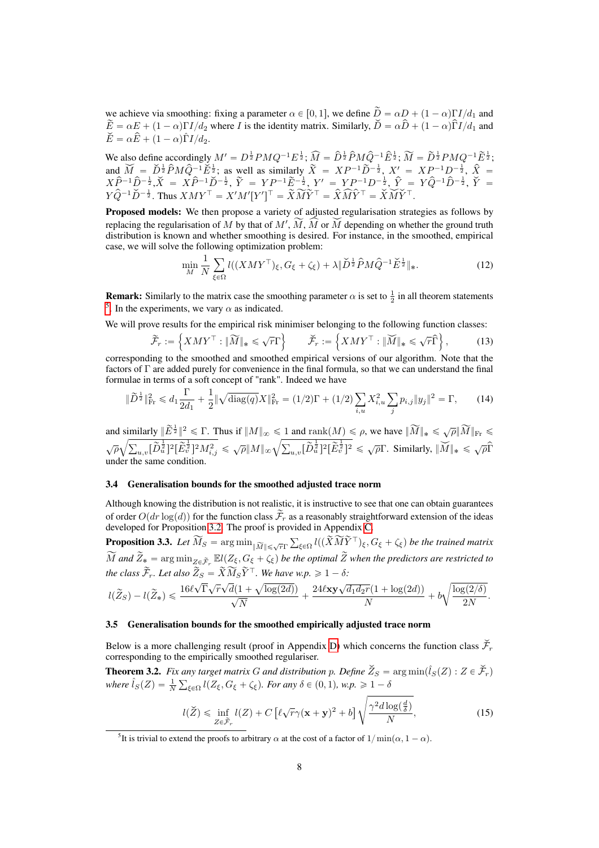we achieve via smoothing: fixing a parameter  $\alpha \in [0, 1]$ , we define  $\widetilde{D} = \alpha D + (1 - \alpha)\Gamma I/d_1$  and  $\widetilde{E} = \alpha E + (1 - \alpha)\Gamma I/d_2$  where *I* is the identity matrix. Similarly,  $\widetilde{D} = \alpha \widehat{D} + (1 - \alpha)\widehat{\Gamma}I/d_1$  and  $\check{E} = \alpha \hat{E} + (1 - \alpha) \hat{\Gamma} I / d_2.$ 

We also define accordingly  $M' = D^{\frac{1}{2}} P M Q^{-1} E^{\frac{1}{2}}$ ;  $\widehat{M} = \widehat{D}^{\frac{1}{2}} \widehat{P} M \widehat{Q}^{-1} \widehat{E}^{\frac{1}{2}}$ ;  $\widetilde{M} = \widetilde{D}^{\frac{1}{2}} P M Q^{-1} \widetilde{E}^{\frac{1}{2}}$ ; and  $\widetilde{M} = \widetilde{D}^{\frac{1}{2}} \widehat{P} M \widehat{Q}^{-1} \widetilde{E}^{\frac{1}{2}}$ ; as well as similarly  $\widetilde{X} = XP^{-1} \widetilde{D}^{-\frac{1}{2}}$ ,  $X' = XP^{-1} D^{-\frac{1}{2}}$ ,  $\widehat{X} =$  $X\hat{P}^{-1}\hat{D}^{-\frac{1}{2}}, \check{X} = X\hat{P}^{-1}\check{D}^{-\frac{1}{2}}, \, \tilde{Y} = YP^{-1}\tilde{E}^{-\frac{1}{2}}, \, Y' = YP^{-1}D^{-\frac{1}{2}}, \, \hat{Y} = Y\hat{Q}^{-1}\hat{D}^{-\frac{1}{2}}, \, \check{Y} = Y\hat{Y}^{-\frac{1}{2}}$  $Y\hat{Q}^{-1}\check{D}^{-\frac{1}{2}}$ . Thus  $XMY^{\top} = X'M'[Y']^{\top} = \widetilde{X}\widetilde{M}\widetilde{Y}^{\top} = \widetilde{X}\widehat{M}\widetilde{Y}^{\top} = \check{X}\widetilde{M}\widetilde{Y}^{\top}$ .

Proposed models: We then propose a variety of adjusted regularisation strategies as follows by replacing the regularisation of  $M$  by that of  $M'$ ,  $M$ ,  $M$  or  $M$  depending on whether the ground truth distribution is known and whether smoothing is desired. For instance, in the smoothed, empirical case, we will solve the following optimization problem:

$$
\min_{M} \frac{1}{N} \sum_{\xi \in \Omega} l((XMY^{\top})_{\xi}, G_{\xi} + \zeta_{\xi}) + \lambda \|\check{D}^{\frac{1}{2}}\hat{P}M\hat{Q}^{-1}\check{E}^{\frac{1}{2}}\|_{*}.
$$
\n(12)

**Remark:** Similarly to the matrix case the smoothing parameter  $\alpha$  is set to  $\frac{1}{2}$  in all theorem statements  $\frac{5}{1}$ . In the experiments, we vary  $\alpha$  as indicated.

We will prove results for the empirical risk minimiser belonging to the following function classes:

$$
\widetilde{\mathcal{F}}_r := \left\{ X M Y^\top : \|\widetilde{M}\|_* \leqslant \sqrt{r} \Gamma \right\} \qquad \widetilde{\mathcal{F}}_r := \left\{ X M Y^\top : \|\widetilde{M}\|_* \leqslant \sqrt{r} \widehat{\Gamma} \right\},\tag{13}
$$

corresponding to the smoothed and smoothed empirical versions of our algorithm. Note that the factors of  $\Gamma$  are added purely for convenience in the final formula, so that we can understand the final formulae in terms of a soft concept of "rank". Indeed we have

$$
\|\widetilde{D}^{\frac{1}{2}}\|_{\text{Fr}}^2 \leq d_1 \frac{\Gamma}{2d_1} + \frac{1}{2} \|\sqrt{\text{diag}(q)} X\|_{\text{Fr}}^2 = (1/2)\Gamma + (1/2) \sum_{i,u} X_{i,u}^2 \sum_j p_{i,j} \|y_j\|^2 = \Gamma, \tag{14}
$$

and similarly  $\|\widetilde{E}^{\frac{1}{2}}\|^2 \leq \Gamma$ . Thus if  $\|M\|_{\infty} \leq 1$  and  $\text{rank}(M) \leq \rho$ , we have  $\|\widetilde{M}\|_{*} \leq \sqrt{\rho} \|\widetilde{M}\|_{\text{Fr}} \leq$  $\sqrt{\rho}\sqrt{\sum_{u,v}[\widetilde{D}_u^{\frac{1}{2}}]^2[\widetilde{E}_v^{\frac{1}{2}}]^2M_{i,j}^2} \leqslant \sqrt{\rho}\|M\|_{\infty}\sqrt{\sum_{u,v}[\widetilde{D}_u^{\frac{1}{2}}]^2[\widetilde{E}_v^{\frac{1}{2}}]^2} \leqslant \sqrt{\rho}\Gamma.$  Similarly,  $\|\widecheck{M}\|_* \leqslant \sqrt{\rho}\widehat{\Gamma}$ under the same condition.

# 3.4 Generalisation bounds for the smoothed adjusted trace norm

Although knowing the distribution is not realistic, it is instructive to see that one can obtain guarantees of order  $O(dr \log(d))$  for the function class  $\tilde{\mathcal{F}}_r$  as a reasonably straightforward extension of the ideas developed for Proposition  $\boxed{3.2}$ . The proof is provided in Appendix  $\boxed{\text{C}}$ 

**Proposition 3.3.** Let  $\widetilde{M}_S = \arg \min_{\|\widetilde{M}\| \leq \sqrt{r}\Gamma} \sum_{\xi \in \Omega} l((\widetilde{X}\widetilde{M}\widetilde{Y}^\top)_{\xi}, G_{\xi} + \zeta_{\xi})$  be the trained matrix  $\tilde{M}$  and  $\tilde{Z}_* = \arg \min_{Z \in \tilde{\mathcal{F}}_r} \mathbb{E}l(Z_{\xi}, G_{\xi} + \zeta_{\xi})$  be the optimal  $\tilde{Z}$  when the predictors are restricted to *the class*  $\mathcal{F}_r$ *. Let also*  $Z_S = X M_S Y^{\top}$ *. We have w.p.*  $\geq 1 - \delta$ *:* 

$$
l(\widetilde{Z}_S) - l(\widetilde{Z}_*) \leqslant \frac{16 \ell \sqrt{\Gamma} \sqrt{r} \sqrt{d} (1 + \sqrt{\log(2d)})}{\sqrt{N}} + \frac{24 \ell \textbf{xy} \sqrt{d_1d_2r}(1 + \log(2d))}{N} + b \sqrt{\frac{\log(2/\delta)}{2N}}.
$$

# 3.5 Generalisation bounds for the smoothed empirically adjusted trace norm

Below is a more challenging result (proof in Appendix  $\overline{D}$ ) which concerns the function class  $\check{\mathcal{F}}_r$ corresponding to the empirically smoothed regulariser.

**Theorem 3.2.** Fix any target matrix G and distribution p. Define  $\check{Z}_S = \arg \min (\hat{l}_S(Z) : Z \in \check{\mathcal{F}}_r)$ where  $\hat{l}_S(Z) = \frac{1}{N} \sum_{\xi \in \Omega} l(Z_\xi, G_\xi + \zeta_\xi)$ . For any  $\delta \in (0, 1)$ , w.p.  $\geq 1 - \delta$ 

$$
l(\check{Z}) \leq \inf_{Z \in \tilde{\mathcal{F}}_r} l(Z) + C \left[ \ell \sqrt{r} \gamma (\mathbf{x} + \mathbf{y})^2 + b \right] \sqrt{\frac{\gamma^2 d \log(\frac{d}{\delta})}{N}},\tag{15}
$$

<sup>&</sup>lt;sup>5</sup>It is trivial to extend the proofs to arbitrary  $\alpha$  at the cost of a factor of  $1/\min(\alpha, 1 - \alpha)$ .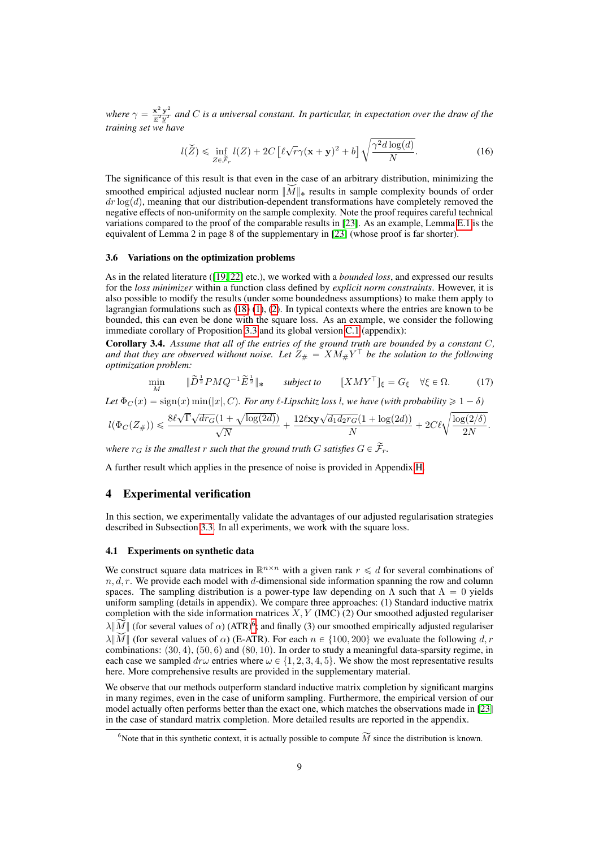where  $\gamma = \frac{x^2 y^2}{x^2 y^2}$  and *C* is a universal constant. In particular, in expectation over the draw of the *training set we have*

$$
l(\check{Z}) \leq \inf_{Z \in \tilde{\mathcal{F}}_r} l(Z) + 2C \left[ \ell \sqrt{r} \gamma (\mathbf{x} + \mathbf{y})^2 + b \right] \sqrt{\frac{\gamma^2 d \log(d)}{N}}.
$$
 (16)

The significance of this result is that even in the case of an arbitrary distribution, minimizing the smoothed empirical adjusted nuclear norm  $||M||_*$  results in sample complexity bounds of order  $dr \log(d)$ , meaning that our distribution-dependent transformations have completely removed the negative effects of non-uniformity on the sample complexity. Note the proof requires careful technical variations compared to the proof of the comparable results in  $[23]$ . As an example, Lemma  $\overline{[E,1]}$  is the equivalent of Lemma 2 in page 8 of the supplementary in [23] (whose proof is far shorter).

#### 3.6 Variations on the optimization problems

As in the related literature ( $\boxed{19\,22}$  etc.), we worked with a *bounded loss*, and expressed our results for the *loss minimizer* within a function class defined by *explicit norm constraints*. However, it is also possible to modify the results (under some boundedness assumptions) to make them apply to lagrangian formulations such as  $(\overline{18}) (\overline{1}), (\overline{2})$ . In typical contexts where the entries are known to be bounded, this can even be done with the square loss. As an example, we consider the following immediate corollary of Proposition  $\overline{3.3}$  and its global version  $\overline{C.1}$  (appendix):

Corollary 3.4. *Assume that all of the entries of the ground truth are bounded by a constant C,* and that they are observed without noise. Let  $Z_{\#} = X M_{\#} Y^{\top}$  be the solution to the following *optimization problem:*

$$
\min_{M} \qquad \|\widetilde{D}^{\frac{1}{2}}PMQ^{-1}\widetilde{E}^{\frac{1}{2}}\|_{*} \qquad \text{subject to} \qquad [XMY^{\top}]_{\xi} = G_{\xi} \quad \forall \xi \in \Omega. \tag{17}
$$

*Let*  $\Phi_C(x) = \text{sign}(x) \min(|x|, C)$ *. For any*  $\ell$ *-Lipschitz loss*  $\ell$ *, we have (with probability*  $\geq 1 - \delta$ )

$$
l(\Phi_C(Z_\#)) \leqslant \frac{8\ell \sqrt{\Gamma} \sqrt{dr_G} (1+\sqrt{\log(2d)})}{\sqrt{N}} + \frac{12\ell\mathbf{x}\mathbf{y}\sqrt{d_1d_2r_G}(1+\log(2d))}{N} + 2C\ell \sqrt{\frac{\log(2/\delta)}{2N}}.
$$

*where*  $r_G$  *is the smallest*  $r$  *such that the ground truth*  $G$  *satisfies*  $G \in \widetilde{\mathcal{F}}_r$ *.* 

A further result which applies in the presence of noise is provided in Appendix  $\overline{H}$ .

# 4 Experimental verification

In this section, we experimentally validate the advantages of our adjusted regularisation strategies described in Subsection  $\overline{3.3}$ . In all experiments, we work with the square loss.

#### 4.1 Experiments on synthetic data

We construct square data matrices in  $\mathbb{R}^{n \times n}$  with a given rank  $r \leq d$  for several combinations of  $n, d, r$ . We provide each model with *d*-dimensional side information spanning the row and column spaces. The sampling distribution is a power-type law depending on  $\Lambda$  such that  $\Lambda = 0$  yields uniform sampling (details in appendix). We compare three approaches: (1) Standard inductive matrix completion with the side information matrices  $\overline{X}$ ,  $\overline{Y}$  (IMC) (2) Our smoothed adjusted regulariser  $\lambda \| \widetilde{M} \|$  (for several values of  $\alpha$ ) (ATR)<sup>6</sup>; and finally (3) our smoothed empirically adjusted regulariser  $\lambda \|M\|$  (for several values of  $\alpha$ ) (E-ATR). For each  $n \in \{100, 200\}$  we evaluate the following *d, r* combinations:  $(30, 4)$ ,  $(50, 6)$  and  $(80, 10)$ . In order to study a meaningful data-sparsity regime, in each case we sampled  $dr\omega$  entries where  $\omega \in \{1, 2, 3, 4, 5\}$ . We show the most representative results here. More comprehensive results are provided in the supplementary material.

We observe that our methods outperform standard inductive matrix completion by significant margins in many regimes, even in the case of uniform sampling. Furthermore, the empirical version of our model actually often performs better than the exact one, which matches the observations made in [23] in the case of standard matrix completion. More detailed results are reported in the appendix.

<sup>&</sup>lt;sup>6</sup> Note that in this synthetic context, it is actually possible to compute  $\widetilde{M}$  since the distribution is known.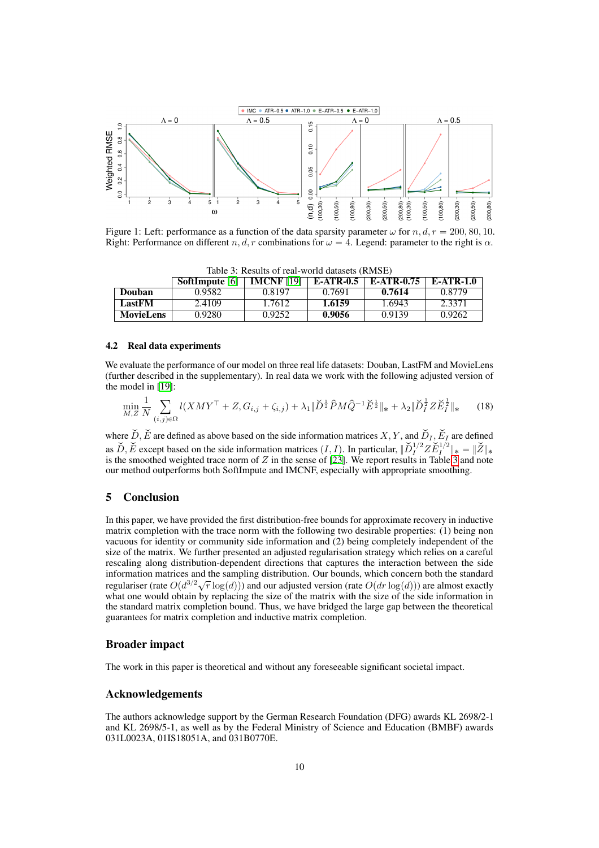

Figure 1: Left: performance as a function of the data sparsity parameter  $\omega$  for *n*,  $d, r = 200, 80, 10$ . Right: Performance on different *n, d, r* combinations for  $\omega = 4$ . Legend: parameter to the right is  $\alpha$ .

| Table 5. Results of Ical World datasets (RivisE) |              |                   |                  |            |                  |  |  |
|--------------------------------------------------|--------------|-------------------|------------------|------------|------------------|--|--|
|                                                  | SoftImpute 6 | <b>IMCNF</b> [19] | <b>E-ATR-0.5</b> | E-ATR-0.75 | <b>E-ATR-1.0</b> |  |  |
| Douban                                           | 0.9582       | 0.8197            | 0.7691           | 0.7614     | 0.8779           |  |  |
| LastFM                                           | 2.4109       | 1.7612            | 1.6159           | 1.6943     | 2.3371           |  |  |
| MovieLens                                        | 0.9280       | 0.9252            | 0.9056           | 0.9139     | 0.9262           |  |  |

Table 3: Results of real-world datasets (RMSE)

# 4.2 Real data experiments

We evaluate the performance of our model on three real life datasets: Douban, LastFM and MovieLens (further described in the supplementary). In real data we work with the following adjusted version of the model in  $[19]$ :

$$
\min_{M,Z} \frac{1}{N} \sum_{(i,j)\in\Omega} l(XMY^\top + Z, G_{i,j} + \zeta_{i,j}) + \lambda_1 \|\check{D}^{\frac{1}{2}}\hat{P}M\hat{Q}^{-1}\check{E}^{\frac{1}{2}}\|_{*} + \lambda_2 \|\check{D}_I^{\frac{1}{2}}Z\check{E}_I^{\frac{1}{2}}\|_{*}
$$
(18)

where  $\check{D}$ ,  $\check{E}$  are defined as above based on the side information matrices *X*, *Y*, and  $\check{D}_I$ ,  $\check{E}_I$  are defined as  $\widetilde{D}$ ,  $\widetilde{E}$  except based on the side information matrices  $(I, I)$ . In particular,  $\|\widetilde{D}_I^{1/2} Z \widetilde{E}_I^{1/2}\|_* = \|\widetilde{Z}\|_*$ is the smoothed weighted trace norm of *Z* in the sense of  $\sqrt{23}$ . We report results in Table  $\frac{3}{3}$  and note our method outperforms both SoftImpute and IMCNF, especially with appropriate smoothing.

# 5 Conclusion

In this paper, we have provided the first distribution-free bounds for approximate recovery in inductive matrix completion with the trace norm with the following two desirable properties: (1) being non vacuous for identity or community side information and (2) being completely independent of the size of the matrix. We further presented an adjusted regularisation strategy which relies on a careful rescaling along distribution-dependent directions that captures the interaction between the side information matrices and the sampling distribution. Our bounds, which concern both the standard regulariser (rate  $O(d^{3/2}\sqrt{r} \log(d))$ ) and our adjusted version (rate  $O(dr \log(d))$ ) are almost exactly what one would obtain by replacing the size of the matrix with the size of the side information in the standard matrix completion bound. Thus, we have bridged the large gap between the theoretical guarantees for matrix completion and inductive matrix completion.

# Broader impact

The work in this paper is theoretical and without any foreseeable significant societal impact.

# Acknowledgements

The authors acknowledge support by the German Research Foundation (DFG) awards KL 2698/2-1 and KL 2698/5-1, as well as by the Federal Ministry of Science and Education (BMBF) awards 031L0023A, 01IS18051A, and 031B0770E.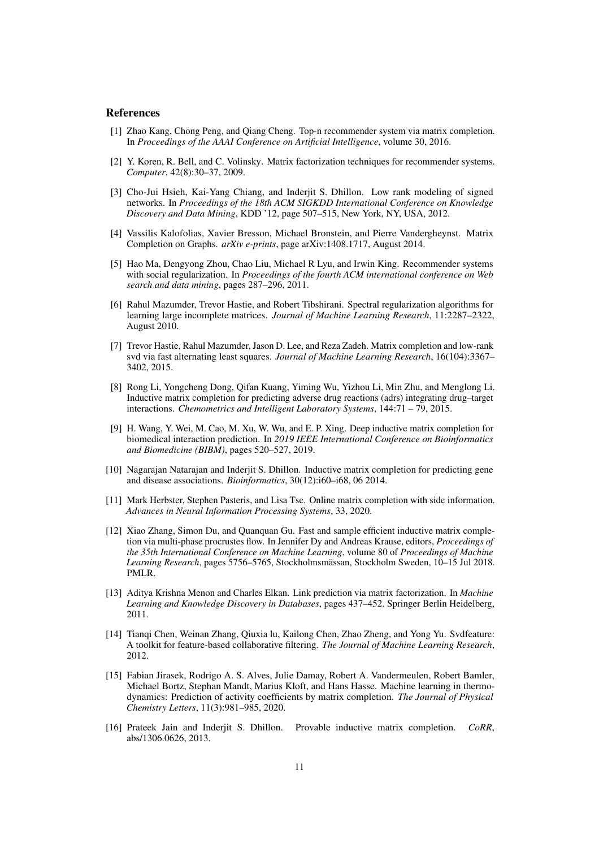#### References

- [1] Zhao Kang, Chong Peng, and Qiang Cheng. Top-n recommender system via matrix completion. In *Proceedings of the AAAI Conference on Artificial Intelligence*, volume 30, 2016.
- [2] Y. Koren, R. Bell, and C. Volinsky. Matrix factorization techniques for recommender systems. *Computer*, 42(8):30–37, 2009.
- [3] Cho-Jui Hsieh, Kai-Yang Chiang, and Inderjit S. Dhillon. Low rank modeling of signed networks. In *Proceedings of the 18th ACM SIGKDD International Conference on Knowledge Discovery and Data Mining*, KDD '12, page 507–515, New York, NY, USA, 2012.
- [4] Vassilis Kalofolias, Xavier Bresson, Michael Bronstein, and Pierre Vandergheynst. Matrix Completion on Graphs. *arXiv e-prints*, page arXiv:1408.1717, August 2014.
- [5] Hao Ma, Dengyong Zhou, Chao Liu, Michael R Lyu, and Irwin King. Recommender systems with social regularization. In *Proceedings of the fourth ACM international conference on Web search and data mining*, pages 287–296, 2011.
- [6] Rahul Mazumder, Trevor Hastie, and Robert Tibshirani. Spectral regularization algorithms for learning large incomplete matrices. *Journal of Machine Learning Research*, 11:2287–2322, August 2010.
- [7] Trevor Hastie, Rahul Mazumder, Jason D. Lee, and Reza Zadeh. Matrix completion and low-rank svd via fast alternating least squares. *Journal of Machine Learning Research*, 16(104):3367– 3402, 2015.
- [8] Rong Li, Yongcheng Dong, Qifan Kuang, Yiming Wu, Yizhou Li, Min Zhu, and Menglong Li. Inductive matrix completion for predicting adverse drug reactions (adrs) integrating drug–target interactions. *Chemometrics and Intelligent Laboratory Systems*, 144:71 – 79, 2015.
- [9] H. Wang, Y. Wei, M. Cao, M. Xu, W. Wu, and E. P. Xing. Deep inductive matrix completion for biomedical interaction prediction. In *2019 IEEE International Conference on Bioinformatics and Biomedicine (BIBM)*, pages 520–527, 2019.
- [10] Nagarajan Natarajan and Inderjit S. Dhillon. Inductive matrix completion for predicting gene and disease associations. *Bioinformatics*, 30(12):i60–i68, 06 2014.
- [11] Mark Herbster, Stephen Pasteris, and Lisa Tse. Online matrix completion with side information. *Advances in Neural Information Processing Systems*, 33, 2020.
- [12] Xiao Zhang, Simon Du, and Quanquan Gu. Fast and sample efficient inductive matrix completion via multi-phase procrustes flow. In Jennifer Dy and Andreas Krause, editors, *Proceedings of the 35th International Conference on Machine Learning*, volume 80 of *Proceedings of Machine Learning Research*, pages 5756–5765, Stockholmsmässan, Stockholm Sweden, 10–15 Jul 2018. PMLR.
- [13] Aditya Krishna Menon and Charles Elkan. Link prediction via matrix factorization. In *Machine Learning and Knowledge Discovery in Databases*, pages 437–452. Springer Berlin Heidelberg, 2011.
- [14] Tianqi Chen, Weinan Zhang, Qiuxia lu, Kailong Chen, Zhao Zheng, and Yong Yu. Svdfeature: A toolkit for feature-based collaborative filtering. *The Journal of Machine Learning Research*, 2012.
- [15] Fabian Jirasek, Rodrigo A. S. Alves, Julie Damay, Robert A. Vandermeulen, Robert Bamler, Michael Bortz, Stephan Mandt, Marius Kloft, and Hans Hasse. Machine learning in thermodynamics: Prediction of activity coefficients by matrix completion. *The Journal of Physical Chemistry Letters*, 11(3):981–985, 2020.
- [16] Prateek Jain and Inderjit S. Dhillon. Provable inductive matrix completion. *CoRR*, abs/1306.0626, 2013.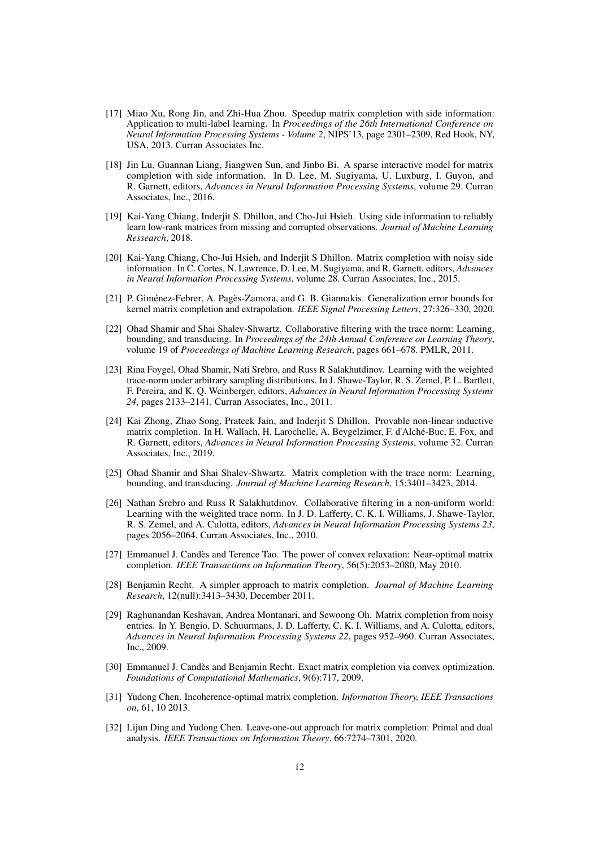- [17] Miao Xu, Rong Jin, and Zhi-Hua Zhou. Speedup matrix completion with side information: Application to multi-label learning. In *Proceedings of the 26th International Conference on Neural Information Processing Systems - Volume 2*, NIPS'13, page 2301–2309, Red Hook, NY, USA, 2013. Curran Associates Inc.
- [18] Jin Lu, Guannan Liang, Jiangwen Sun, and Jinbo Bi. A sparse interactive model for matrix completion with side information. In D. Lee, M. Sugiyama, U. Luxburg, I. Guyon, and R. Garnett, editors, *Advances in Neural Information Processing Systems*, volume 29. Curran Associates, Inc., 2016.
- [19] Kai-Yang Chiang, Inderjit S. Dhillon, and Cho-Jui Hsieh. Using side information to reliably learn low-rank matrices from missing and corrupted observations. *Journal of Machine Learning Ressearch*, 2018.
- [20] Kai-Yang Chiang, Cho-Jui Hsieh, and Inderjit S Dhillon. Matrix completion with noisy side information. In C. Cortes, N. Lawrence, D. Lee, M. Sugiyama, and R. Garnett, editors, *Advances in Neural Information Processing Systems*, volume 28. Curran Associates, Inc., 2015.
- [21] P. Giménez-Febrer, A. Pagès-Zamora, and G. B. Giannakis. Generalization error bounds for kernel matrix completion and extrapolation. *IEEE Signal Processing Letters*, 27:326–330, 2020.
- [22] Ohad Shamir and Shai Shalev-Shwartz. Collaborative filtering with the trace norm: Learning, bounding, and transducing. In *Proceedings of the 24th Annual Conference on Learning Theory*, volume 19 of *Proceedings of Machine Learning Research*, pages 661–678. PMLR, 2011.
- [23] Rina Foygel, Ohad Shamir, Nati Srebro, and Russ R Salakhutdinov. Learning with the weighted trace-norm under arbitrary sampling distributions. In J. Shawe-Taylor, R. S. Zemel, P. L. Bartlett, F. Pereira, and K. Q. Weinberger, editors, *Advances in Neural Information Processing Systems 24*, pages 2133–2141. Curran Associates, Inc., 2011.
- [24] Kai Zhong, Zhao Song, Prateek Jain, and Inderjit S Dhillon. Provable non-linear inductive matrix completion. In H. Wallach, H. Larochelle, A. Beygelzimer, F. d'Alché-Buc, E. Fox, and R. Garnett, editors, *Advances in Neural Information Processing Systems*, volume 32. Curran Associates, Inc., 2019.
- [25] Ohad Shamir and Shai Shalev-Shwartz. Matrix completion with the trace norm: Learning, bounding, and transducing. *Journal of Machine Learning Research*, 15:3401–3423, 2014.
- [26] Nathan Srebro and Russ R Salakhutdinov. Collaborative filtering in a non-uniform world: Learning with the weighted trace norm. In J. D. Lafferty, C. K. I. Williams, J. Shawe-Taylor, R. S. Zemel, and A. Culotta, editors, *Advances in Neural Information Processing Systems 23*, pages 2056–2064. Curran Associates, Inc., 2010.
- [27] Emmanuel J. Candès and Terence Tao. The power of convex relaxation: Near-optimal matrix completion. *IEEE Transactions on Information Theory*, 56(5):2053–2080, May 2010.
- [28] Benjamin Recht. A simpler approach to matrix completion. *Journal of Machine Learning Research*, 12(null):3413–3430, December 2011.
- [29] Raghunandan Keshavan, Andrea Montanari, and Sewoong Oh. Matrix completion from noisy entries. In Y. Bengio, D. Schuurmans, J. D. Lafferty, C. K. I. Williams, and A. Culotta, editors, *Advances in Neural Information Processing Systems 22*, pages 952–960. Curran Associates, Inc., 2009.
- [30] Emmanuel J. Candès and Benjamin Recht. Exact matrix completion via convex optimization. *Foundations of Computational Mathematics*, 9(6):717, 2009.
- [31] Yudong Chen. Incoherence-optimal matrix completion. *Information Theory, IEEE Transactions on*, 61, 10 2013.
- [32] Lijun Ding and Yudong Chen. Leave-one-out approach for matrix completion: Primal and dual analysis. *IEEE Transactions on Information Theory*, 66:7274–7301, 2020.